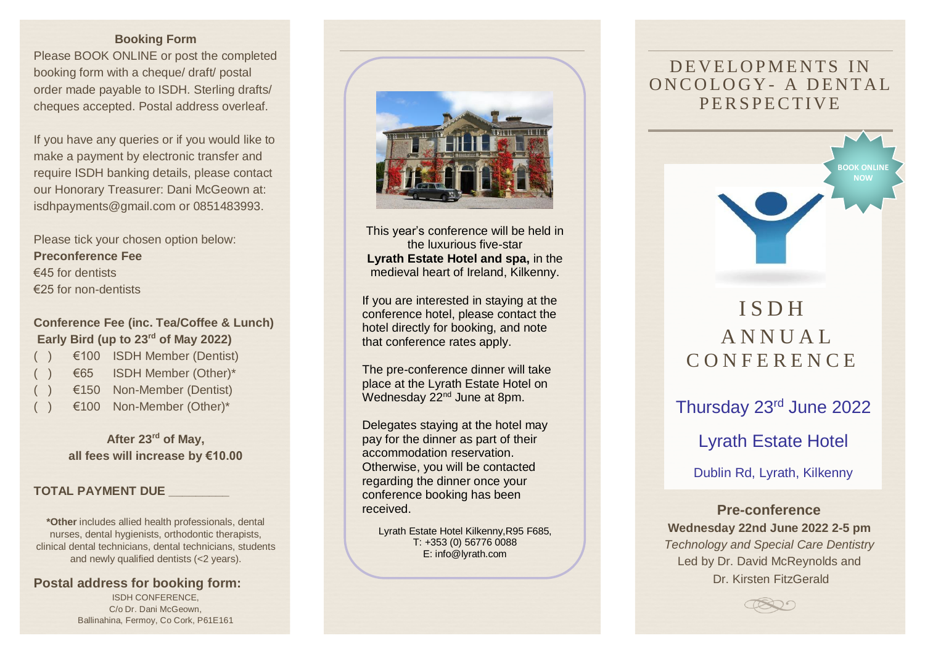#### **Booking Form**

Please BOOK ONLINE or post the completed booking form with a cheque/ draft/ postal order made payable to ISDH. Sterling drafts/ cheques accepted. Postal address overleaf.

If you have any queries or if you would like to make a payment by electronic transfer and require ISDH banking details, please contact our Honorary Treasurer: Dani McGeown at: isdhpayments@gmail.com or 0851483993 .

Please tick your chosen option below: **Preconference Fee** €45 for dentists €25 for non -dentists

### **Conference Fee (inc . Tea/Coffee & Lunch) Early Bird (up to 23rd of May 2022)**

| ( ) | €100 | <b>ISDH Member (Dentist)</b> |
|-----|------|------------------------------|
| ( ) | €65  | ISDH Member (Other)*         |
| ( ) | €150 | Non-Member (Dentist)         |
| ( ) | €100 | Non-Member (Other)*          |

**After 23rd of May, all fees will increase by €10.00**

#### **TOTAL PAYMENT DUE \_\_\_\_\_\_\_\_\_**

**\*Other** includes allied health professionals, dental nurses , dental hygienists, orthodontic therapists , clinical dental technicians, dental technicians, students and newly qualified dentists (<2 years).

**Postal address for booking form:** ISDH CONFERENCE, C/o Dr. Dani McGeown, Ballinahina, Fermoy, Co Cork, P61E161



This year's conference will be held in the luxurious five -star **Lyrath Estate Hotel and spa ,** in the medieval heart of Ireland, Kilkenny.

connerence noter, please contact tr<br>hotel directly for booking, and note If you are interested in staying at the conference hotel, please contact the that conference rates apply.

The pre -conference dinner will take place at the Lyrath Estate Hotel on Wednesday 22<sup>nd</sup> June at 8pm.

Delegates staying at the hotel may pay for the dinner as part of their accommodation reservation. Otherwise , you will be contacted regarding the dinner once your conference booking has been received.

Lyrath Estate Hotel Kilkenny,R95 F685, T: +353 (0) 56776 0088 E: info@lyrath.com

## DEVELOPMENTS IN ONCOLOGY- A DENTAL **PERSPECTIVE**



# **ISDH** ANNUAL C O N F E R E N C E

Thursday 23rd June 2022 Lyrath Estate Hotel

Dublin Rd, Lyrath, Kilkenny

**Pre -conference Wednesday 22nd June 2022 2 - 5 pm** *Technology and Special Care Dentistry* Led by Dr. David McReynolds and Dr. Kirsten FitzGerald